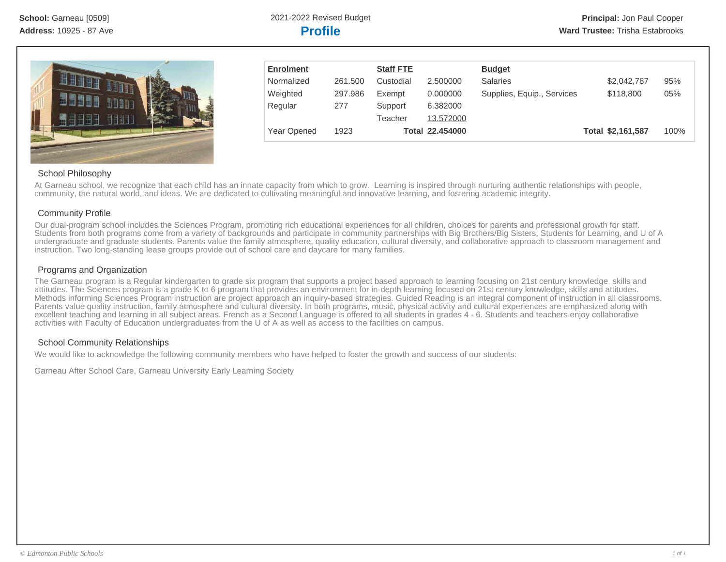

| <b>Enrolment</b> |         | <b>Staff FTE</b> |                 | <b>Budget</b>              |                   |      |
|------------------|---------|------------------|-----------------|----------------------------|-------------------|------|
| Normalized       | 261.500 | Custodial        | 2.500000        | <b>Salaries</b>            | \$2,042,787       | 95%  |
| Weighted         | 297.986 | Exempt           | 0.000000        | Supplies, Equip., Services | \$118,800         | 05%  |
| Regular          | 277     | Support          | 6.382000        |                            |                   |      |
|                  |         | Teacher          | 13.572000       |                            |                   |      |
| Year Opened      | 1923    |                  | Total 22.454000 |                            | Total \$2,161,587 | 100% |

# School Philosophy

At Garneau school, we recognize that each child has an innate capacity from which to grow. Learning is inspired through nurturing authentic relationships with people, community, the natural world, and ideas. We are dedicated to cultivating meaningful and innovative learning, and fostering academic integrity.

## Community Profile

Our dual-program school includes the Sciences Program, promoting rich educational experiences for all children, choices for parents and professional growth for staff. Students from both programs come from a variety of backgrounds and participate in community partnerships with Big Brothers/Big Sisters, Students for Learning, and U of A undergraduate and graduate students. Parents value the family atmosphere, quality education, cultural diversity, and collaborative approach to classroom management and instruction. Two long-standing lease groups provide out of school care and daycare for many families.

# Programs and Organization

The Garneau program is a Regular kindergarten to grade six program that supports a project based approach to learning focusing on 21st century knowledge, skills and attitudes. The Sciences program is a grade K to 6 program that provides an environment for in-depth learning focused on 21st century knowledge, skills and attitudes. Methods informing Sciences Program instruction are project approach an inquiry-based strategies. Guided Reading is an integral component of instruction in all classrooms. Parents value quality instruction, family atmosphere and cultural diversity. In both programs, music, physical activity and cultural experiences are emphasized along with excellent teaching and learning in all subject areas. French as a Second Language is offered to all students in grades 4 - 6. Students and teachers enjoy collaborative activities with Faculty of Education undergraduates from the U of A as well as access to the facilities on campus.

# School Community Relationships

We would like to acknowledge the following community members who have helped to foster the growth and success of our students:

Garneau After School Care, Garneau University Early Learning Society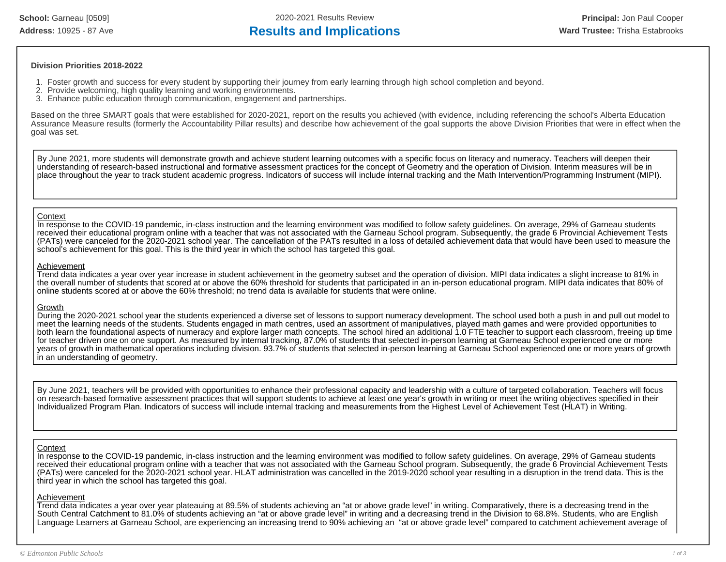### **Division Priorities 2018-2022**

- 1. Foster growth and success for every student by supporting their journey from early learning through high school completion and beyond.
- 2. Provide welcoming, high quality learning and working environments.
- 3. Enhance public education through communication, engagement and partnerships.

Based on the three SMART goals that were established for 2020-2021, report on the results you achieved (with evidence, including referencing the school's Alberta Education Assurance Measure results (formerly the Accountability Pillar results) and describe how achievement of the goal supports the above Division Priorities that were in effect when the goal was set.

By June 2021, more students will demonstrate growth and achieve student learning outcomes with a specific focus on literacy and numeracy. Teachers will deepen their understanding of research-based instructional and formative assessment practices for the concept of Geometry and the operation of Division. Interim measures will be in place throughout the year to track student academic progress. Indicators of success will include internal tracking and the Math Intervention/Programming Instrument (MIPI).

#### **Context**

In response to the COVID-19 pandemic, in-class instruction and the learning environment was modified to follow safety guidelines. On average, 29% of Garneau students received their educational program online with a teacher that was not associated with the Garneau School program. Subsequently, the grade 6 Provincial Achievement Tests (PATs) were canceled for the 2020-2021 school year. The cancellation of the PATs resulted in a loss of detailed achievement data that would have been used to measure the school's achievement for this goal. This is the third year in which the school has targeted this goal.

#### Achievement

Trend data indicates a year over year increase in student achievement in the geometry subset and the operation of division. MIPI data indicates a slight increase to 81% in the overall number of students that scored at or above the 60% threshold for students that participated in an in-person educational program. MIPI data indicates that 80% of online students scored at or above the 60% threshold; no trend data is available for students that were online.

#### Growth

During the 2020-2021 school year the students experienced a diverse set of lessons to support numeracy development. The school used both a push in and pull out model to meet the learning needs of the students. Students engaged in math centres, used an assortment of manipulatives, played math games and were provided opportunities to both learn the foundational aspects of numeracy and explore larger math concepts. The school hired an additional 1.0 FTE teacher to support each classroom, freeing up time for teacher driven one on one support. As measured by internal tracking, 87.0% of students that selected in-person learning at Garneau School experienced one or more years of growth in mathematical operations including division. 93.7% of students that selected in-person learning at Garneau School experienced one or more years of growth in an understanding of geometry.

By June 2021, teachers will be provided with opportunities to enhance their professional capacity and leadership with a culture of targeted collaboration. Teachers will focus on research-based formative assessment practices that will support students to achieve at least one year's growth in writing or meet the writing objectives specified in their Individualized Program Plan. Indicators of success will include internal tracking and measurements from the Highest Level of Achievement Test (HLAT) in Writing.

### **Context**

In response to the COVID-19 pandemic, in-class instruction and the learning environment was modified to follow safety guidelines. On average, 29% of Garneau students received their educational program online with a teacher that was not associated with the Garneau School program. Subsequently, the grade 6 Provincial Achievement Tests (PATs) were canceled for the 2020-2021 school year. HLAT administration was cancelled in the 2019-2020 school year resulting in a disruption in the trend data. This is the third year in which the school has targeted this goal.

#### Achievement

Trend data indicates a year over year plateauing at 89.5% of students achieving an "at or above grade level" in writing. Comparatively, there is a decreasing trend in the South Central Catchment to 81.0% of students achieving an "at or above grade level" in writing and a decreasing trend in the Division to 68.8%. Students, who are English Language Learners at Garneau School, are experiencing an increasing trend to 90% achieving an "at or above grade level" compared to catchment achievement average of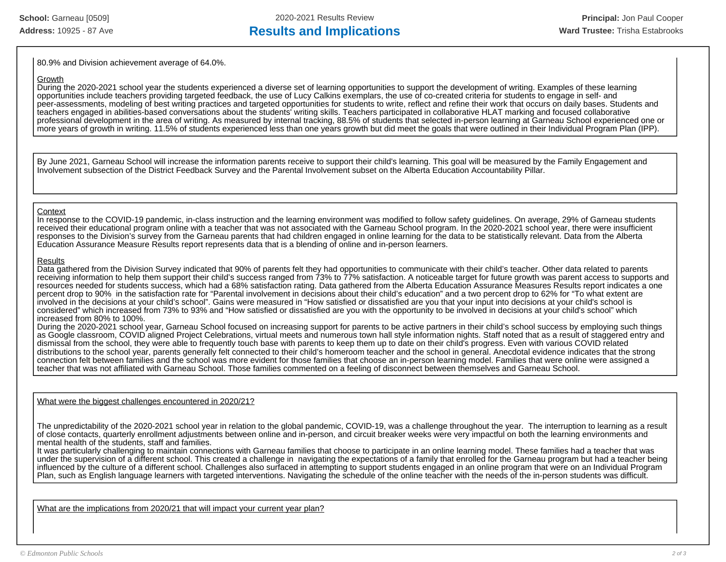80.9% and Division achievement average of 64.0%.

#### **Growth**

During the 2020-2021 school year the students experienced a diverse set of learning opportunities to support the development of writing. Examples of these learning opportunities include teachers providing targeted feedback, the use of Lucy Calkins exemplars, the use of co-created criteria for students to engage in self- and peer-assessments, modeling of best writing practices and targeted opportunities for students to write, reflect and refine their work that occurs on daily bases. Students and teachers engaged in abilities-based conversations about the students' writing skills. Teachers participated in collaborative HLAT marking and focused collaborative professional development in the area of writing. As measured by internal tracking, 88.5% of students that selected in-person learning at Garneau School experienced one or more years of growth in writing. 11.5% of students experienced less than one years growth but did meet the goals that were outlined in their Individual Program Plan (IPP).

By June 2021, Garneau School will increase the information parents receive to support their child's learning. This goal will be measured by the Family Engagement and Involvement subsection of the District Feedback Survey and the Parental Involvement subset on the Alberta Education Accountability Pillar.

### **Context**

In response to the COVID-19 pandemic, in-class instruction and the learning environment was modified to follow safety guidelines. On average, 29% of Garneau students received their educational program online with a teacher that was not associated with the Garneau School program. In the 2020-2021 school year, there were insufficient responses to the Division's survey from the Garneau parents that had children engaged in online learning for the data to be statistically relevant. Data from the Alberta Education Assurance Measure Results report represents data that is a blending of online and in-person learners.

#### **Results**

Data gathered from the Division Survey indicated that 90% of parents felt they had opportunities to communicate with their child's teacher. Other data related to parents receiving information to help them support their child's success ranged from 73% to 77% satisfaction. A noticeable target for future growth was parent access to supports and resources needed for students success, which had a 68% satisfaction rating. Data gathered from the Alberta Education Assurance Measures Results report indicates a one percent drop to 90% in the satisfaction rate for "Parental involvement in decisions about their child's education" and a two percent drop to 62% for "To what extent are involved in the decisions at your child's school". Gains were measured in "How satisfied or dissatisfied are you that your input into decisions at your child's school is considered" which increased from 73% to 93% and "How satisfied or dissatisfied are you with the opportunity to be involved in decisions at your child's school" which increased from 80% to 100%.

During the 2020-2021 school year, Garneau School focused on increasing support for parents to be active partners in their child's school success by employing such things as Google classroom, COVID aligned Project Celebrations, virtual meets and numerous town hall style information nights. Staff noted that as a result of staggered entry and dismissal from the school, they were able to frequently touch base with parents to keep them up to date on their child's progress. Even with various COVID related distributions to the school year, parents generally felt connected to their child's homeroom teacher and the school in general. Anecdotal evidence indicates that the strong connection felt between families and the school was more evident for those families that choose an in-person learning model. Families that were online were assigned a teacher that was not affiliated with Garneau School. Those families commented on a feeling of disconnect between themselves and Garneau School.

What were the biggest challenges encountered in 2020/21?

The unpredictability of the 2020-2021 school year in relation to the global pandemic, COVID-19, was a challenge throughout the year. The interruption to learning as a result of close contacts, quarterly enrollment adjustments between online and in-person, and circuit breaker weeks were very impactful on both the learning environments and mental health of the students, staff and families.

It was particularly challenging to maintain connections with Garneau families that choose to participate in an online learning model. These families had a teacher that was under the supervision of a different school. This created a challenge in navigating the expectations of a family that enrolled for the Garneau program but had a teacher being influenced by the culture of a different school. Challenges also surfaced in attempting to support students engaged in an online program that were on an Individual Program Plan, such as English language learners with targeted interventions. Navigating the schedule of the online teacher with the needs of the in-person students was difficult.

What are the implications from 2020/21 that will impact your current year plan?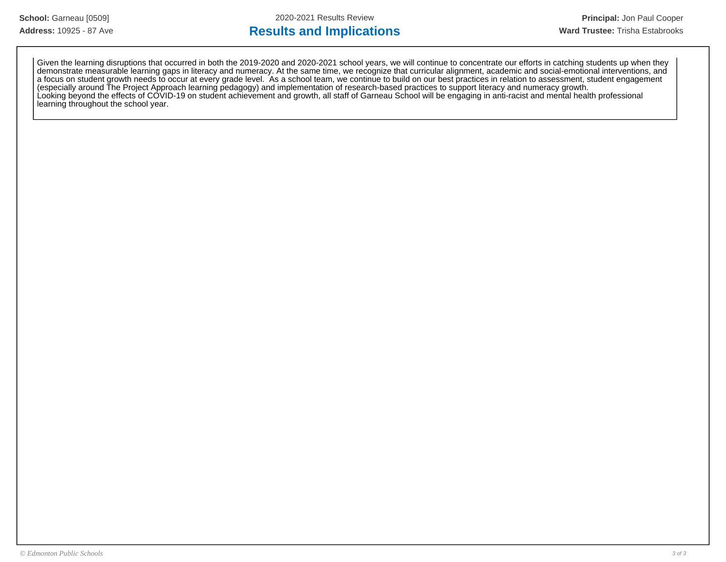# Address: 10925 - 87 Ave **Results and Implications Results and Implications Ward Trustee:** Trisha Estabrooks

Given the learning disruptions that occurred in both the 2019-2020 and 2020-2021 school years, we will continue to concentrate our efforts in catching students up when they demonstrate measurable learning gaps in literacy and numeracy. At the same time, we recognize that curricular alignment, academic and social-emotional interventions, and a focus on student growth needs to occur at every grade level. As a school team, we continue to build on our best practices in relation to assessment, student engagement (especially around The Project Approach learning pedagogy) and implementation of research-based practices to support literacy and numeracy growth. Looking beyond the effects of COVID-19 on student achievement and growth, all staff of Garneau School will be engaging in anti-racist and mental health professional learning throughout the school year.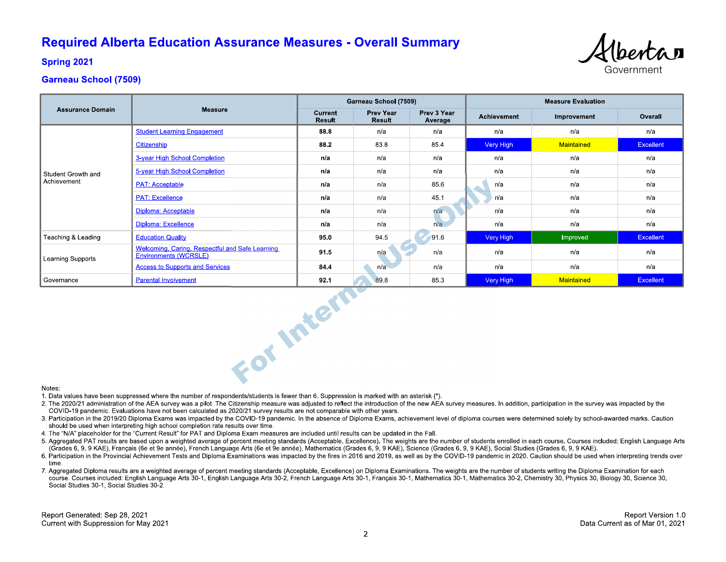# **Required Alberta Education Assurance Measures - Overall Summary**



**Spring 2021** 

# **Garneau School (7509)**

|                                   |                                                                          | Garneau School (7509)    |                            |                        | <b>Measure Evaluation</b> |             |                  |
|-----------------------------------|--------------------------------------------------------------------------|--------------------------|----------------------------|------------------------|---------------------------|-------------|------------------|
| <b>Assurance Domain</b>           | <b>Measure</b>                                                           | Current<br><b>Result</b> | <b>Prev Year</b><br>Result | Prev 3 Year<br>Average | Achievement               | Improvement | Overall          |
| Student Growth and<br>Achievement | <b>Student Learning Engagement</b>                                       | 88.8                     | n/a                        | n/a                    | n/a                       | n/a         | n/a              |
|                                   | Citizenship                                                              | 88.2                     | 838                        | 854                    | Very High                 | Maintained  | <b>Excellent</b> |
|                                   | 3-year High School Completion                                            | n/a                      | n/a                        | n/a                    | n/a                       | n/a         | n/a              |
|                                   | 5-year High School Completion                                            | n/a                      | n/a                        | n/a                    | n/a                       | n/a         | n/a              |
|                                   | <b>PAT: Acceptable</b>                                                   | n/a                      | n/a                        | 85.6                   | n/a                       | n/a         | n/a              |
|                                   | <b>PAT: Excellence</b>                                                   | n/a                      | n/a                        | 45.1                   | n/a                       | n/a         | n/a              |
|                                   | Diploma: Acceptable                                                      | n/a                      | n/a                        | n/a                    | n/a                       | n/a         | n/a              |
|                                   | Diploma: Excellence                                                      | n/a                      | n/a                        | n/a                    | n/a                       | n/a         | n/a              |
| Teaching & Leading                | <b>Education Quality</b>                                                 | 95.0                     | 94.5                       | 91.6                   | Very High                 | Improved    | <b>Excellent</b> |
| <b>Learning Supports</b>          | Welcoming, Caring, Respectful and Safe Learning<br>Environments (WCRSLE) | 91.5                     | n/a                        | n/a                    | n/a                       | n/a         | n/a              |
|                                   | <b>Access to Supports and Services</b>                                   | 84.4                     | n/a                        | n/a                    | n/a                       | n/a         | n/a              |
| Governance                        | <b>Parental Involvement</b>                                              | 92.1                     | 89.8                       | 85.3                   | Very High                 | Maintained  | Excellent        |
| Notes:                            | For Intern                                                               |                          |                            |                        |                           |             |                  |

#### Notes:

1. Data values have been suppressed where the number of respondents/students is fewer than 6. Suppression is marked with an asterisk (\*).

- 2. The 2020/21 administration of the AEA survey was a pilot. The Citizenship measure was adjusted to reflect the introduction of the new AEA survey measures. In addition, participation in the survey was impacted by the COVID-19 pandemic. Evaluations have not been calculated as 2020/21 survey results are not comparable with other years.
- 3. Participation in the 2019/20 Diploma Exams was impacted by the COVID-19 pandemic. In the absence of Diploma Exams, achievement level of diploma courses were determined solely by school-awarded marks. Caution should be used when interpreting high school completion rate results over time.
- 4. The "N/A" placeholder for the "Current Result" for PAT and Diploma Exam measures are included until results can be updated in the Fall.
- 5. Aggregated PAT results are based upon a weighted average of percent meeting standards (Acceptable, Excellence). The weights are the number of students enrolled in each course. Courses included: English Language Arts (Grades 6, 9, 9 KAE), Français (6e et 9e année), French Language Arts (6e et 9e année), Mathematics (Grades 6, 9, 9 KAE), Science (Grades 6, 9, 9 KAE), Social Studies (Grades 6, 9, 9 KAE).
- 6. Participation in the Provincial Achievement Tests and Diploma Examinations was impacted by the fires in 2016 and 2019, as well as by the COVID-19 pandemic in 2020. Caution should be used when interpreting trends over time
- 7. Aggregated Diploma results are a weighted average of percent meeting standards (Acceptable, Excellence) on Diploma Examinations. The weights are the number of students writing the Diploma Examination for each course. Courses included: English Language Arts 30-1, English Language Arts 30-2, French Language Arts 30-1, Français 30-1, Mathematics 30-1, Mathematics 30-2, Chemistry 30, Physics 30, Biology 30, Science 30, Social Studies 30-1, Social Studies 30-2.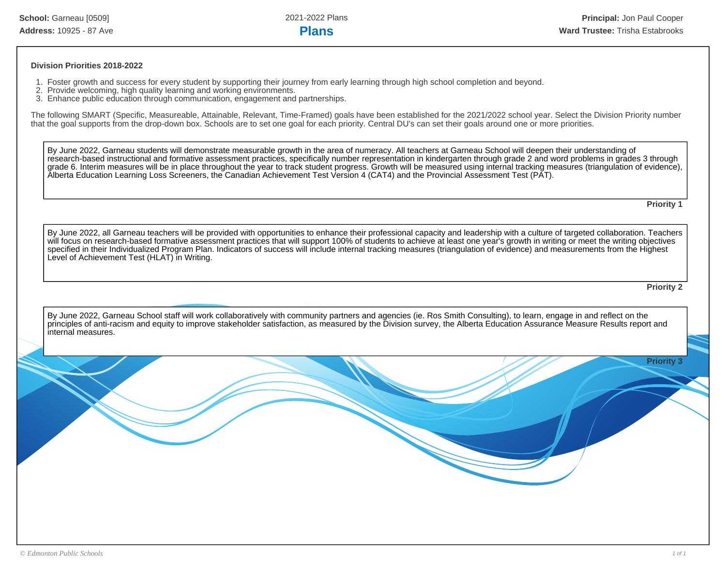#### **Division Priorities 2018-2022**

- 1. Foster growth and success for every student by supporting their journey from early learning through high school completion and beyond.
- 2. Provide welcoming, high quality learning and working environments.
- 3. Enhance public education through communication, engagement and partnerships.

The following SMART (Specific, Measureable, Attainable, Relevant, Time-Framed) goals have been established for the 2021/2022 school year. Select the Division Priority number that the goal supports from the drop-down box. Schools are to set one goal for each priority. Central DU's can set their goals around one or more priorities.

By June 2022, Garneau students will demonstrate measurable growth in the area of numeracy. All teachers at Garneau School will deepen their understanding of research-based instructional and formative assessment practices, specifically number representation in kindergarten through grade 2 and word problems in grades 3 through grade 6. Interim measures will be in place throughout the year to track student progress. Growth will be measured using internal tracking measures (triangulation of evidence), Alberta Education Learning Loss Screeners, the Canadian Achievement Test Version 4 (CAT4) and the Provincial Assessment Test (PAT).

**Priority 1**

By June 2022, all Garneau teachers will be provided with opportunities to enhance their professional capacity and leadership with a culture of targeted collaboration. Teachers will focus on research-based formative assessment practices that will support 100% of students to achieve at least one year's growth in writing or meet the writing objectives specified in their Individualized Program Plan. Indicators of success will include internal tracking measures (triangulation of evidence) and measurements from the Highest Level of Achievement Test (HLAT) in Writing.

**Priority 2**

By June 2022, Garneau School staff will work collaboratively with community partners and agencies (ie. Ros Smith Consulting), to learn, engage in and reflect on the principles of anti-racism and equity to improve stakeholder satisfaction, as measured by the Division survey, the Alberta Education Assurance Measure Results report and internal measures.